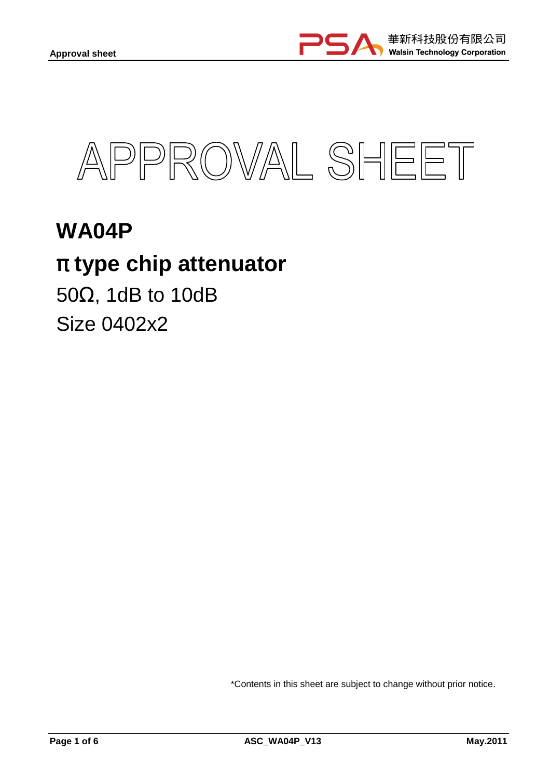



# **WA04P**  π **type chip attenuator**  50Ω, 1dB to 10dB

Size 0402x2

\*Contents in this sheet are subject to change without prior notice.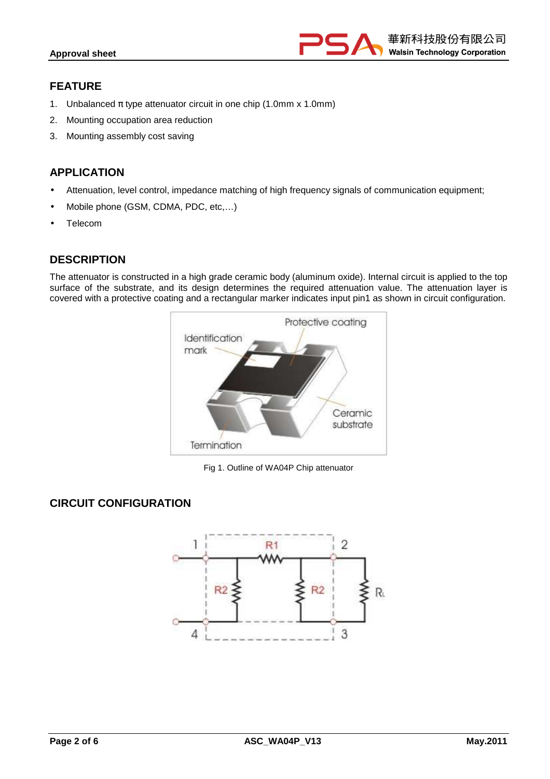

#### **FEATURE**

- 1. Unbalanced  $\pi$  type attenuator circuit in one chip (1.0mm x 1.0mm)
- 2. Mounting occupation area reduction
- 3. Mounting assembly cost saving

### **APPLICATION**

- Attenuation, level control, impedance matching of high frequency signals of communication equipment;
- Mobile phone (GSM, CDMA, PDC, etc,…)
- Telecom

# **DESCRIPTION**

The attenuator is constructed in a high grade ceramic body (aluminum oxide). Internal circuit is applied to the top surface of the substrate, and its design determines the required attenuation value. The attenuation layer is covered with a protective coating and a rectangular marker indicates input pin1 as shown in circuit configuration.



Fig 1. Outline of WA04P Chip attenuator

# **CIRCUIT CONFIGURATION**

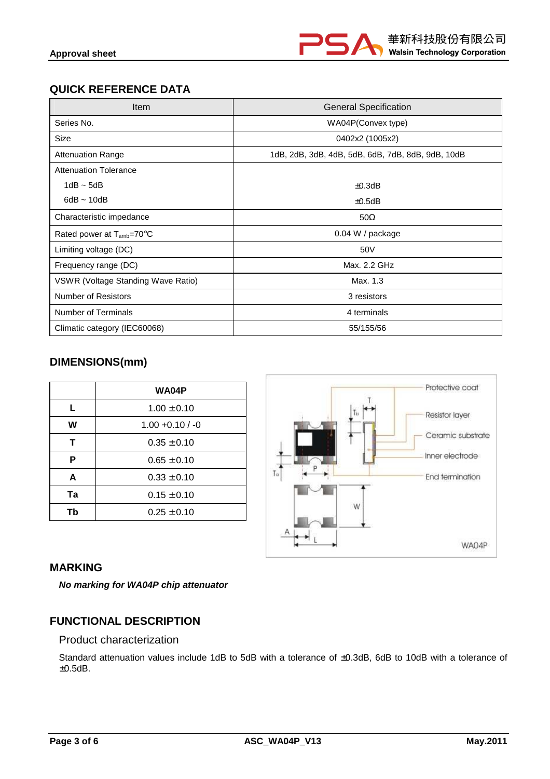

# **QUICK REFERENCE DATA**

| Item                                  | <b>General Specification</b>                      |  |  |
|---------------------------------------|---------------------------------------------------|--|--|
| Series No.                            | WA04P(Convex type)                                |  |  |
| Size                                  | 0402x2 (1005x2)                                   |  |  |
| <b>Attenuation Range</b>              | 1dB, 2dB, 3dB, 4dB, 5dB, 6dB, 7dB, 8dB, 9dB, 10dB |  |  |
| <b>Attenuation Tolerance</b>          |                                                   |  |  |
| $1dB \sim 5dB$                        | $\pm 0.3$ dB                                      |  |  |
| $6dB \sim 10dB$                       | $\pm 0.5$ dB                                      |  |  |
| Characteristic impedance              | $50\Omega$                                        |  |  |
| Rated power at T <sub>amb</sub> =70°C | 0.04 W / package                                  |  |  |
| Limiting voltage (DC)                 | 50V                                               |  |  |
| Frequency range (DC)                  | Max. 2.2 GHz                                      |  |  |
| VSWR (Voltage Standing Wave Ratio)    | Max. 1.3                                          |  |  |
| <b>Number of Resistors</b>            | 3 resistors                                       |  |  |
| Number of Terminals                   | 4 terminals                                       |  |  |
| Climatic category (IEC60068)          | 55/155/56                                         |  |  |

# **DIMENSIONS(mm)**

|    | WA04P              |  |  |
|----|--------------------|--|--|
| L  | $1.00 \pm 0.10$    |  |  |
| w  | $1.00 + 0.10 / -0$ |  |  |
| т  | $0.35 \pm 0.10$    |  |  |
| P  | $0.65 \pm 0.10$    |  |  |
| A  | $0.33 \pm 0.10$    |  |  |
| Ta | $0.15 \pm 0.10$    |  |  |
| Тb | $0.25 \pm 0.10$    |  |  |



#### **MARKING**

**No marking for WA04P chip attenuator** 

#### **FUNCTIONAL DESCRIPTION**

#### Product characterization

Standard attenuation values include 1dB to 5dB with a tolerance of ±0.3dB, 6dB to 10dB with a tolerance of ±0.5dB.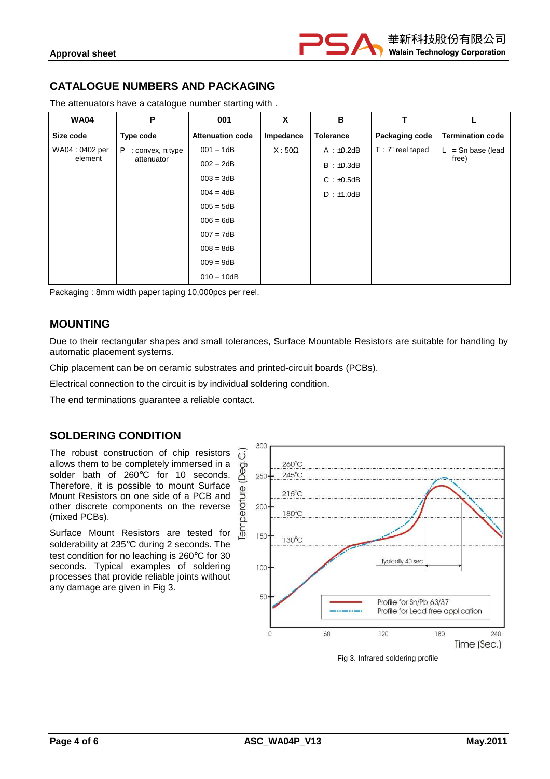

# **CATALOGUE NUMBERS AND PACKAGING**

The attenuators have a catalogue number starting with .

| <b>WA04</b>    | P                         | 001                     | X            | B                |                     |                         |
|----------------|---------------------------|-------------------------|--------------|------------------|---------------------|-------------------------|
| Size code      | Type code                 | <b>Attenuation code</b> | Impedance    | <b>Tolerance</b> | Packaging code      | <b>Termination code</b> |
| WA04: 0402 per | P<br>: convex, $\pi$ type | $001 = 1dB$             | $X:50\Omega$ | $A : \pm 0.2dB$  | $T : 7"$ reel taped | $=$ Sn base (lead       |
| element        | attenuator                | $002 = 2dB$             |              | B : ±0.3dB       |                     | free)                   |
|                |                           | $003 = 3dB$             |              | $C : \pm 0.5dB$  |                     |                         |
|                |                           | $004 = 4dB$             |              | $D : \pm 1.0dB$  |                     |                         |
|                |                           | $005 = 5dB$             |              |                  |                     |                         |
|                |                           | $006 = 6dB$             |              |                  |                     |                         |
|                |                           | $007 = 7dB$             |              |                  |                     |                         |
|                |                           | $008 = 8dB$             |              |                  |                     |                         |
|                |                           | $009 = 9dB$             |              |                  |                     |                         |
|                |                           | $010 = 10dB$            |              |                  |                     |                         |

Packaging : 8mm width paper taping 10,000pcs per reel.

#### **MOUNTING**

Due to their rectangular shapes and small tolerances, Surface Mountable Resistors are suitable for handling by automatic placement systems.

Chip placement can be on ceramic substrates and printed-circuit boards (PCBs).

Electrical connection to the circuit is by individual soldering condition.

The end terminations guarantee a reliable contact.

#### **SOLDERING CONDITION**

The robust construction of chip resistors  $\overline{(\overline{)}\ }$ allows them to be completely immersed in a solder bath of 260°C for 10 seconds. Therefore, it is possible to mount Surface Mount Resistors on one side of a PCB and other discrete components on the reverse (mixed PCBs).

Surface Mount Resistors are tested for solderability at 235°C during 2 seconds. The test condition for no leaching is 260°C for 30 seconds. Typical examples of soldering processes that provide reliable joints without any damage are given in Fig 3.



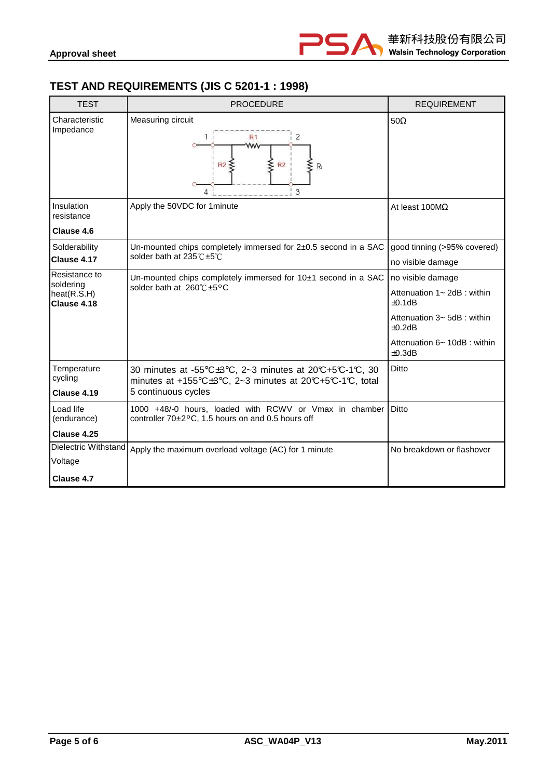

# **TEST AND REQUIREMENTS (JIS C 5201-1 : 1998)**

| <b>TEST</b>                             | <b>PROCEDURE</b>                                                                                                      | <b>REQUIREMENT</b>                           |
|-----------------------------------------|-----------------------------------------------------------------------------------------------------------------------|----------------------------------------------|
| Characteristic<br>Impedance             | Measuring circuit<br>2<br>R1<br>w<br>R <sub>2</sub><br>R2<br>$R_i$<br>3                                               | $50\Omega$                                   |
| Insulation<br>resistance                | Apply the 50VDC for 1minute                                                                                           | At least $100M\Omega$                        |
| Clause 4.6                              |                                                                                                                       |                                              |
| Solderability                           | Un-mounted chips completely immersed for 2±0.5 second in a SAC                                                        | good tinning (>95% covered)                  |
| Clause 4.17                             | solder bath at 235℃±5℃                                                                                                | no visible damage                            |
| Resistance to                           | Un-mounted chips completely immersed for 10±1 second in a SAC                                                         | no visible damage                            |
| soldering<br>heat(R.S.H)<br>Clause 4.18 | solder bath at 260℃±5°C                                                                                               | Attenuation 1~ 2dB : within<br>±0.1dB        |
|                                         | Attenuation 3~ 5dB : within<br>$\pm 0.2$ dB                                                                           |                                              |
|                                         |                                                                                                                       | Attenuation 6~ 10dB : within<br>$\pm 0.3$ dB |
| Temperature<br>cycling                  | 30 minutes at -55°C±3°C, 2~3 minutes at 20°C+5°C-1°C, 30<br>minutes at +155°C±3°C, 2~3 minutes at 20°C+5°C-1°C, total | Ditto                                        |
| Clause 4.19                             | 5 continuous cycles                                                                                                   |                                              |
| Load life<br>(endurance)                | 1000 +48/-0 hours, loaded with RCWV or Vmax in chamber<br>controller 70±2°C, 1.5 hours on and 0.5 hours off           | Ditto                                        |
| Clause 4.25                             |                                                                                                                       |                                              |
| Dielectric Withstand                    | Apply the maximum overload voltage (AC) for 1 minute                                                                  | No breakdown or flashover                    |
| Voltage                                 |                                                                                                                       |                                              |
| Clause 4.7                              |                                                                                                                       |                                              |